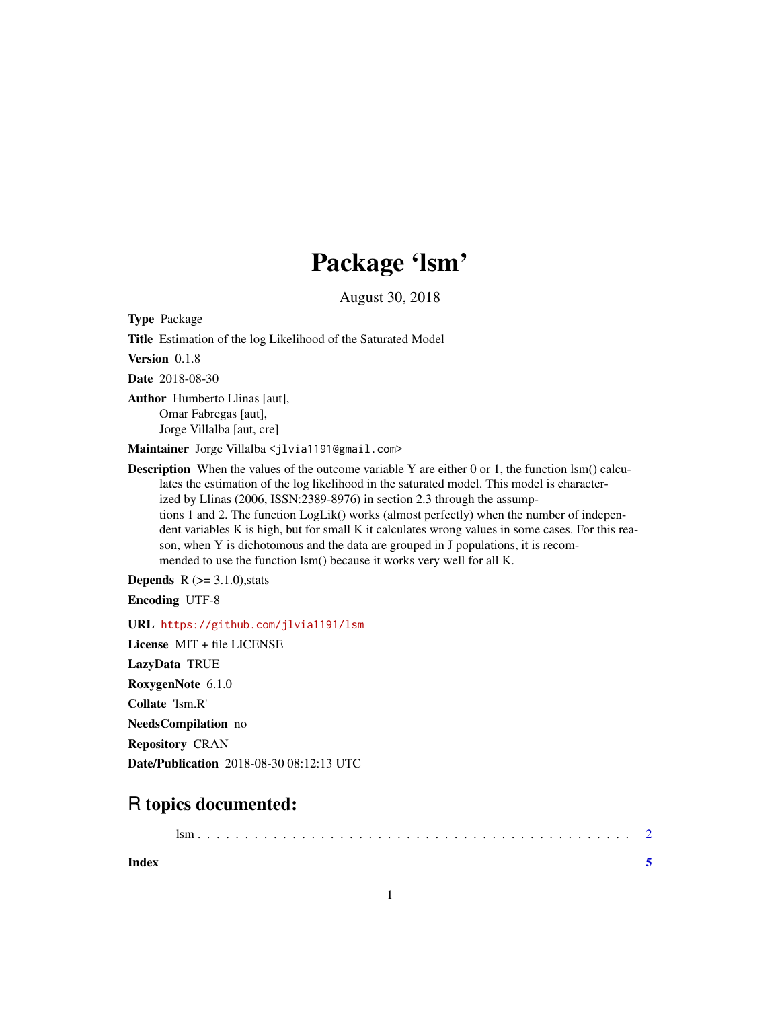## Package 'lsm'

August 30, 2018

Type Package

Title Estimation of the log Likelihood of the Saturated Model

Version 0.1.8

Date 2018-08-30

Author Humberto Llinas [aut], Omar Fabregas [aut], Jorge Villalba [aut, cre]

Maintainer Jorge Villalba <jlvia1191@gmail.com>

**Description** When the values of the outcome variable Y are either 0 or 1, the function lsm() calculates the estimation of the log likelihood in the saturated model. This model is characterized by Llinas (2006, ISSN:2389-8976) in section 2.3 through the assumptions 1 and 2. The function LogLik() works (almost perfectly) when the number of independent variables K is high, but for small K it calculates wrong values in some cases. For this reason, when Y is dichotomous and the data are grouped in J populations, it is recommended to use the function lsm() because it works very well for all K.

**Depends**  $R$  ( $>= 3.1.0$ ), stats Encoding UTF-8

URL <https://github.com/jlvia1191/lsm>

License MIT + file LICENSE LazyData TRUE RoxygenNote 6.1.0 Collate 'lsm.R' NeedsCompilation no Repository CRAN Date/Publication 2018-08-30 08:12:13 UTC

### R topics documented:

**Index** [5](#page-4-0). The second state of the second state of the second state of the second state of the second state of the second state of the second state of the second state of the second state of the second state of the second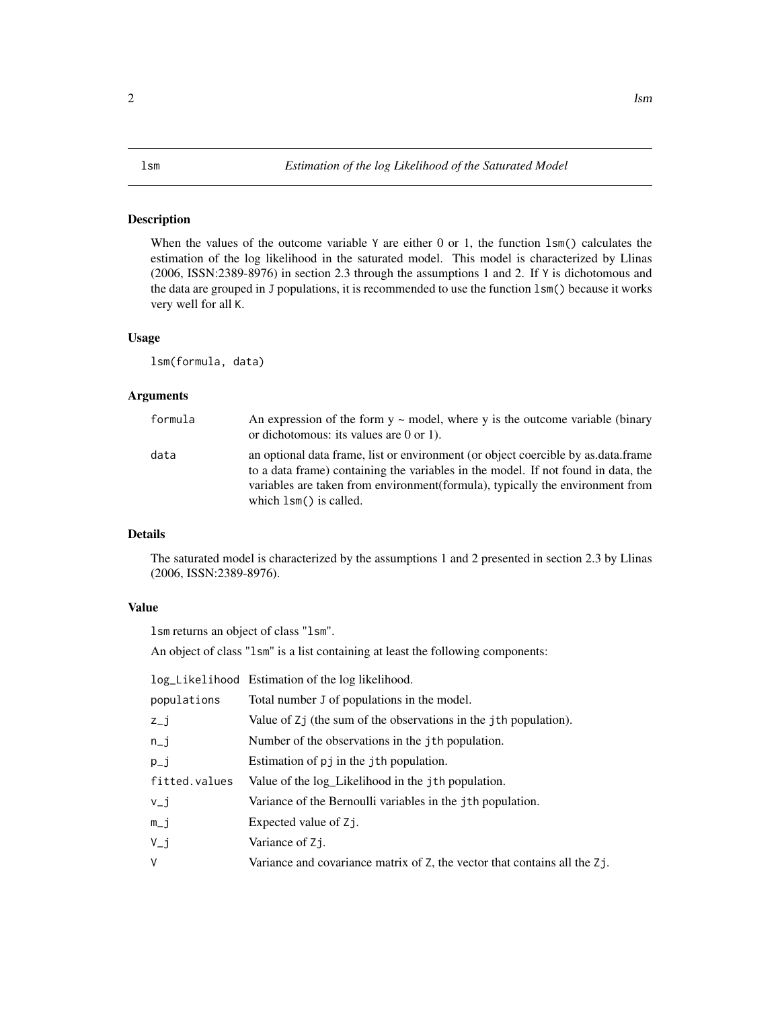### <span id="page-1-0"></span>Description

When the values of the outcome variable  $Y$  are either 0 or 1, the function 1sm() calculates the estimation of the log likelihood in the saturated model. This model is characterized by Llinas (2006, ISSN:2389-8976) in section 2.3 through the assumptions 1 and 2. If Y is dichotomous and the data are grouped in J populations, it is recommended to use the function lsm() because it works very well for all K.

### Usage

lsm(formula, data)

### Arguments

| formula | An expression of the form $y \sim$ model, where y is the outcome variable (binary<br>or dichotomous: its values are $0$ or 1).                                                                                                                                                       |
|---------|--------------------------------------------------------------------------------------------------------------------------------------------------------------------------------------------------------------------------------------------------------------------------------------|
| data    | an optional data frame, list or environment (or object coercible by as data frame<br>to a data frame) containing the variables in the model. If not found in data, the<br>variables are taken from environment (formula), typically the environment from<br>which $lsm()$ is called. |

### Details

The saturated model is characterized by the assumptions 1 and 2 presented in section 2.3 by Llinas (2006, ISSN:2389-8976).

### Value

lsm returns an object of class "lsm".

An object of class "lsm" is a list containing at least the following components:

|               | log_Likelihood Estimation of the log likelihood.                          |
|---------------|---------------------------------------------------------------------------|
| populations   | Total number J of populations in the model.                               |
| $z_{-}j$      | Value of Zj (the sum of the observations in the jth population).          |
| $n_i$         | Number of the observations in the jth population.                         |
| $p_{-}j$      | Estimation of p in the jth population.                                    |
| fitted.values | Value of the log_Likelihood in the jth population.                        |
| $v_j$         | Variance of the Bernoulli variables in the jth population.                |
| $m_j$         | Expected value of Z.                                                      |
| $V_{-}j$      | Variance of Z <sub>1</sub> .                                              |
| V             | Variance and covariance matrix of Z, the vector that contains all the Zj. |
|               |                                                                           |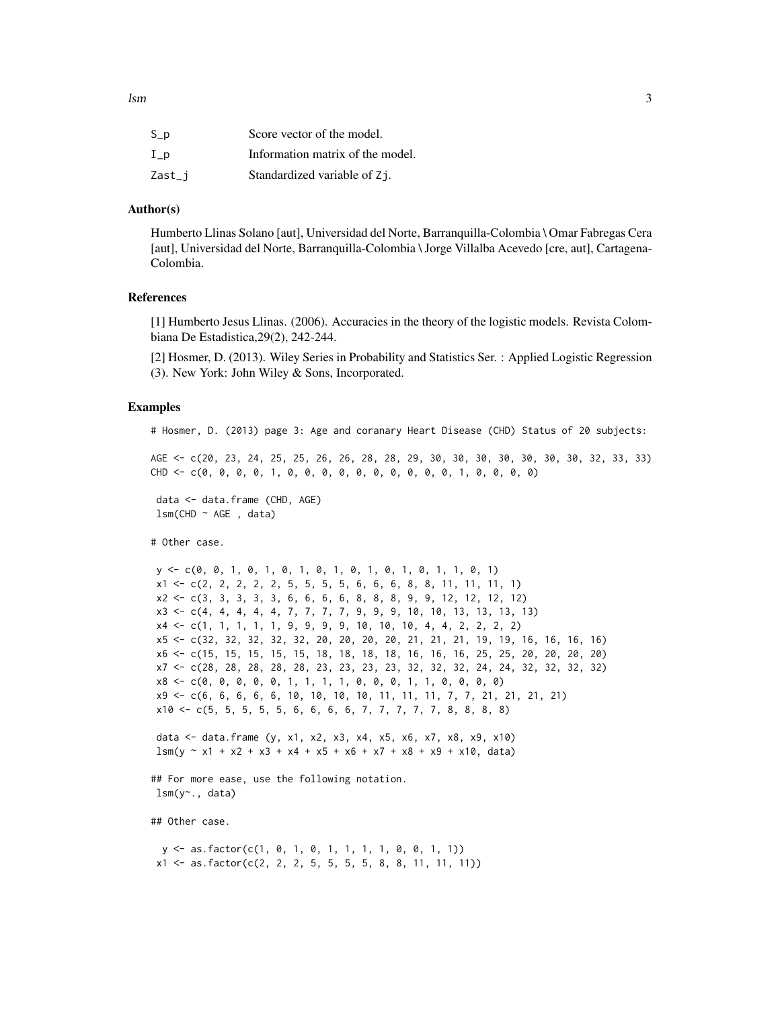| $S_p$  | Score vector of the model.       |
|--------|----------------------------------|
| $I_p$  | Information matrix of the model. |
| Zast_j | Standardized variable of Zj.     |

### Author(s)

Humberto Llinas Solano [aut], Universidad del Norte, Barranquilla-Colombia \ Omar Fabregas Cera [aut], Universidad del Norte, Barranquilla-Colombia \ Jorge Villalba Acevedo [cre, aut], Cartagena-Colombia.

### References

[1] Humberto Jesus Llinas. (2006). Accuracies in the theory of the logistic models. Revista Colombiana De Estadistica,29(2), 242-244.

[2] Hosmer, D. (2013). Wiley Series in Probability and Statistics Ser. : Applied Logistic Regression (3). New York: John Wiley & Sons, Incorporated.

### Examples

# Hosmer, D. (2013) page 3: Age and coranary Heart Disease (CHD) Status of 20 subjects:

AGE <- c(20, 23, 24, 25, 25, 26, 26, 28, 28, 29, 30, 30, 30, 30, 30, 30, 30, 32, 33, 33) CHD <- c(0, 0, 0, 0, 1, 0, 0, 0, 0, 0, 0, 0, 0, 0, 0, 1, 0, 0, 0, 0)

data <- data.frame (CHD, AGE)  $lsm$ (CHD  $\sim$  AGE, data)

# Other case.

y <- c(0, 0, 1, 0, 1, 0, 1, 0, 1, 0, 1, 0, 1, 0, 1, 1, 0, 1) x1 <- c(2, 2, 2, 2, 2, 5, 5, 5, 5, 6, 6, 6, 8, 8, 11, 11, 11, 1) x2 <- c(3, 3, 3, 3, 3, 6, 6, 6, 6, 8, 8, 8, 9, 9, 12, 12, 12, 12)  $x3 \leq c(4, 4, 4, 4, 7, 7, 7, 7, 9, 9, 9, 10, 10, 13, 13, 13, 13)$ x4 <- c(1, 1, 1, 1, 1, 9, 9, 9, 9, 10, 10, 10, 4, 4, 2, 2, 2, 2) x5 <- c(32, 32, 32, 32, 32, 20, 20, 20, 20, 21, 21, 21, 19, 19, 16, 16, 16, 16) x6 <- c(15, 15, 15, 15, 15, 18, 18, 18, 18, 16, 16, 16, 25, 25, 20, 20, 20, 20) x7 <- c(28, 28, 28, 28, 28, 23, 23, 23, 23, 32, 32, 32, 24, 24, 32, 32, 32, 32) x8 <- c(0, 0, 0, 0, 0, 1, 1, 1, 1, 0, 0, 0, 1, 1, 0, 0, 0, 0) x9 <- c(6, 6, 6, 6, 6, 10, 10, 10, 10, 11, 11, 11, 7, 7, 21, 21, 21, 21) x10 <- c(5, 5, 5, 5, 5, 6, 6, 6, 6, 7, 7, 7, 7, 7, 8, 8, 8, 8)

data <- data.frame (y, x1, x2, x3, x4, x5, x6, x7, x8, x9, x10)  $lsm(y \sim x1 + x2 + x3 + x4 + x5 + x6 + x7 + x8 + x9 + x10, data)$ 

## For more ease, use the following notation. lsm(y~., data)

## Other case.

y <- as.factor(c(1, 0, 1, 0, 1, 1, 1, 1, 0, 0, 1, 1))  $x1 \leftarrow as.factor(c(2, 2, 2, 5, 5, 5, 5, 8, 8, 11, 11, 11))$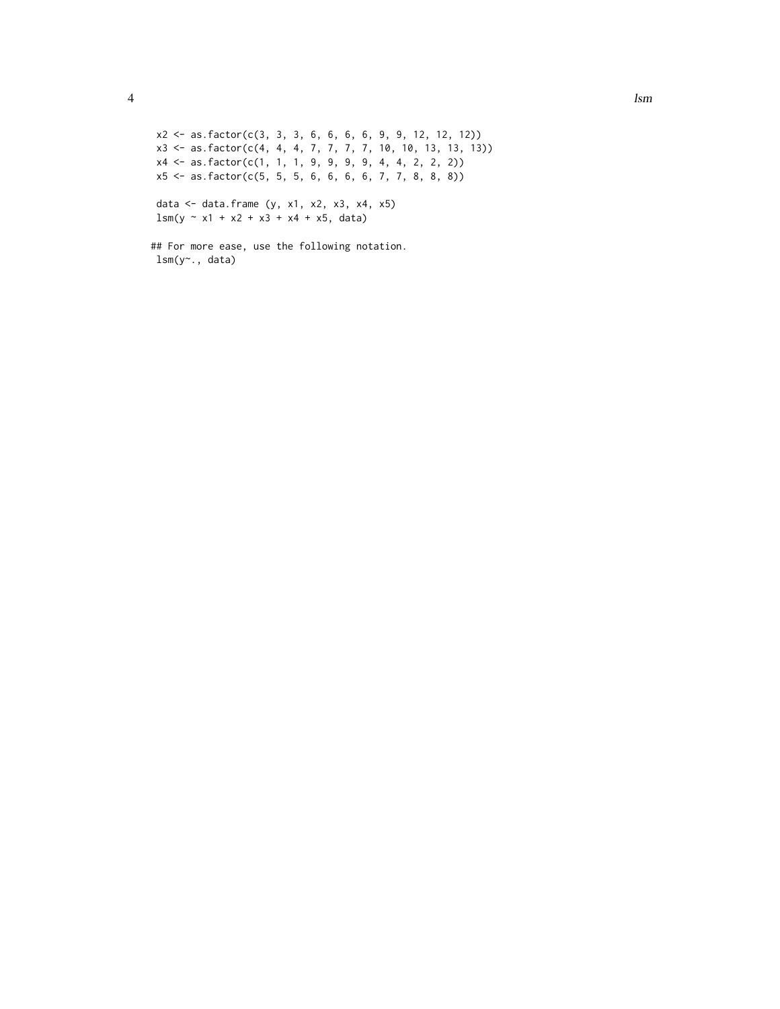```
x2 <- as.factor(c(3, 3, 3, 6, 6, 6, 6, 9, 9, 12, 12, 12))
x3 <- as.factor(c(4, 4, 4, 7, 7, 7, 7, 10, 10, 13, 13, 13))
x4 <- as.factor(c(1, 1, 1, 9, 9, 9, 9, 4, 4, 2, 2, 2))
x5 \leq -as.factor(c(5, 5, 5, 6, 6, 6, 7, 7, 8, 8, 8))data <- data.frame (y, x1, x2, x3, x4, x5)
lsm(y \sim x1 + x2 + x3 + x4 + x5, data)
```

```
## For more ease, use the following notation.
lsm(y~., data)
```